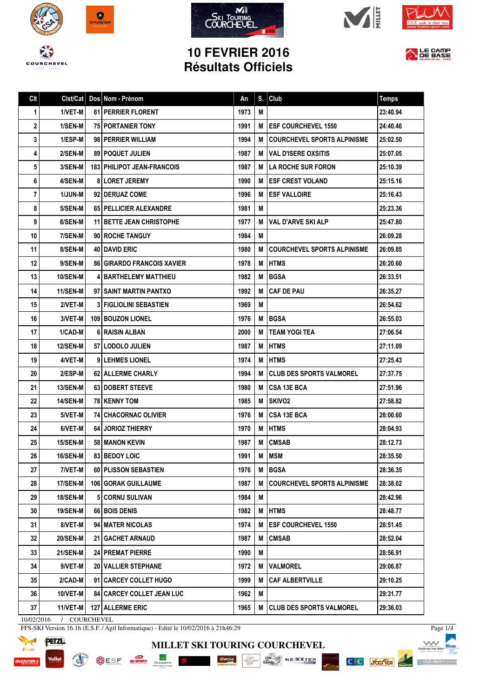









## **10 FEVRIER 2016 Résultats Officiels**



| Clt | Clst/Cat        | Dos Nom - Prénom                   | An   | S.  | Club                               | <b>Temps</b> |
|-----|-----------------|------------------------------------|------|-----|------------------------------------|--------------|
| 1   | 1/VET-M         | <b>61   PERRIER FLORENT</b>        | 1973 | M   |                                    | 23:40.94     |
| 2   | 1/SEN-M         | <b>75 PORTANIER TONY</b>           | 1991 | M   | <b>ESF COURCHEVEL 1550</b>         | 24:40.46     |
| 3   | 1/ESP-M         | 98   PERRIER WILLIAM               | 1994 | М   | <b>COURCHEVEL SPORTS ALPINISME</b> | 25:02.50     |
| 4   | 2/SEN-M         | <b>89   POQUET JULIEN</b>          | 1987 | M   | <b>VAL D'ISERE OXSITIS</b>         | 25:07.05     |
| 5   | 3/SEN-M         | <b>183 PHILIPOT JEAN-FRANCOIS</b>  | 1987 | M I | <b>I LA ROCHE SUR FORON</b>        | 25:10.39     |
| 6   | 4/SEN-M         | <b>8 LORET JEREMY</b>              | 1990 | M   | <b>IESF CREST VOLAND</b>           | 25:15.16     |
| 7   | 1/JUN-M         | 92   DERUAZ COME                   | 1996 | М   | <b>ESF VALLOIRE</b>                | 25:16.43     |
| 8   | 5/SEN-M         | 65 PELLICIER ALEXANDRE             | 1981 | M   |                                    | 25:23.36     |
| 9   | 6/SEN-M         | <b>11 BETTE JEAN CHRISTOPHE</b>    | 1977 | М   | <b>VAL D'ARVE SKI ALP</b>          | 25:47.80     |
| 10  | 7/SEN-M         | 90 ROCHE TANGUY                    | 1984 | M   |                                    | 26:09.28     |
| 11  | 8/SEN-M         | 40 DAVID ERIC                      | 1980 | M   | <b>COURCHEVEL SPORTS ALPINISME</b> | 26:09.85     |
| 12  | 9/SEN-M         | <b>86 GIRARDO FRANCOIS XAVIER</b>  | 1978 | M   | <b>HTMS</b>                        | 26:20.60     |
| 13  | 10/SEN-M        | <b>4 BARTHELEMY MATTHIEU</b>       | 1982 | M   | <b>BGSA</b>                        | 26:33.51     |
| 14  | <b>11/SEN-M</b> | 97 I SAINT MARTIN PANTXO           | 1992 | М   | <b>CAF DE PAU</b>                  | 26:35.27     |
| 15  | 2/VET-M         | <b>3 FIGLIOLINI SEBASTIEN</b>      | 1969 | M   |                                    | 26:54.62     |
| 16  | 3/VET-M         | 109 BOUZON LIONEL                  | 1976 | M   | <b>BGSA</b>                        | 26:55.03     |
| 17  | 1/CAD-M         | <b>6 RAISIN ALBAN</b>              | 2000 | M   | <b>TEAM YOGI TEA</b>               | 27:06.54     |
| 18  | <b>12/SEN-M</b> | 57 I LODOLO JULIEN                 | 1987 | M   | <b>HTMS</b>                        | 27:11.09     |
| 19  | 4/VET-M         | <b>9 LEHMES LIONEL</b>             | 1974 | M   | <b>HTMS</b>                        | 27:25.43     |
| 20  | 2/ESP-M         | <b>62   ALLERME CHARLY</b>         | 1994 | М   | <b>CLUB DES SPORTS VALMOREL</b>    | 27:37.75     |
| 21  | <b>13/SEN-M</b> | 63 DOBERT STEEVE                   | 1980 | M   | <b>CSA 13E BCA</b>                 | 27:51.96     |
| 22  | <b>14/SEN-M</b> | <b>78   KENNY TOM</b>              | 1985 | M   | <b>SKIVO2</b>                      | 27:58.82     |
| 23  | 5/VET-M         | <b>74 CHACORNAC OLIVIER</b>        | 1976 | M   | <b>CSA 13E BCA</b>                 | 28:00.60     |
| 24  | 6/VET-M         | 64 JORIOZ THIERRY                  | 1970 | M   | <b>HTMS</b>                        | 28:04.93     |
| 25  | 15/SEN-M        | <b>58   MANON KEVIN</b>            | 1987 | M   | <b>CMSAB</b>                       | 28:12.73     |
| 26  | 16/SEN-M        | <b>83 BEDOY LOIC</b>               | 1991 | M   | <b>MSM</b>                         | 28:35.50     |
| 27  | 7/VET-M         | 60 PLISSON SEBASTIEN               | 1976 | М   | <b>BGSA</b>                        | 28:36.35     |
| 28  | 17/SEN-M        | 106 GORAK GUILLAUME                | 1987 | M   | <b>COURCHEVEL SPORTS ALPINISME</b> | 28:38.02     |
| 29  | 18/SEN-M        | 5 CORNU SULIVAN                    | 1984 | M   |                                    | 28:42.96     |
| 30  | <b>19/SEN-M</b> | 66 BOIS DENIS                      | 1982 | M   | <b>HTMS</b>                        | 28:48.77     |
| 31  | 8/VET-M         | 94 MATER NICOLAS                   | 1974 | М   | <b>ESF COURCHEVEL 1550</b>         | 28:51.45     |
| 32  | <b>20/SEN-M</b> | <b>21   GACHET ARNAUD</b>          | 1987 | M   | <b>CMSAB</b>                       | 28:52.04     |
| 33  | <b>21/SEN-M</b> | <b>24 PREMAT PIERRE</b>            | 1990 | Μ   |                                    | 28:56.91     |
| 34  | 9/VET-M         | 20 VALLIER STEPHANE                | 1972 | M   | <b>VALMOREL</b>                    | 29:06.87     |
| 35  | 2/CAD-M         | 91 CARCEY COLLET HUGO              | 1999 | M   | <b>CAF ALBERTVILLE</b>             | 29:10.25     |
| 36  | 10/VET-M        | <b>84   CARCEY COLLET JEAN LUC</b> | 1962 | Μ   |                                    | 29:31.77     |
| 37  | 11/VET-M        | <b>127   ALLERME ERIC</b>          | 1965 | M   | CLUB DES SPORTS VALMOREL           | 29:36.03     |
|     |                 |                                    |      |     |                                    |              |

**MILLET SKI TOURING COURCHEVEL**

1511 NOI

SESE NEWS Groupons E Sherpe Sherpe Conserved NEWS NEXT CONSERVED ON A REAL PROPERTY OF SALES

10/02/2016 / COURCHEVEL

**PETZL** 

Vallat

FFS-SKI Version 16.1h (E.S.F. / Agil Informatique) - Edité le 10/02/2016 à 21h46:29

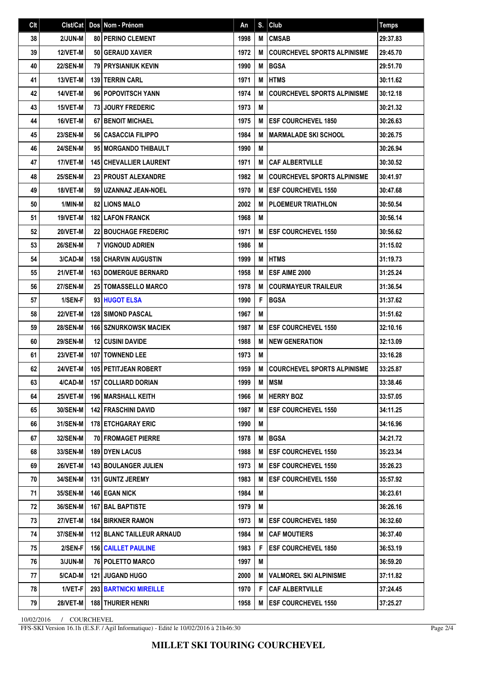| 2/JUN-M<br>80 PERINO CLEMENT<br><b>CMSAB</b><br>38<br>1998<br>M<br>39<br><b>12/VET-M</b><br>50 GERAUD XAVIER<br>1972<br>М<br><b>COURCHEVEL SPORTS ALPINISME</b><br><b>BGSA</b><br>40<br><b>22/SEN-M</b><br><b>79 PRYSIANIUK KEVIN</b><br>1990<br>M<br><b>HTMS</b><br>41<br>13/VET-M<br>139 TERRIN CARL<br>1971<br>M<br>14/VET-M<br>96 POPOVITSCH YANN<br>1974<br>42<br>M<br><b>COURCHEVEL SPORTS ALPINISME</b><br>43<br>15/VET-M<br>1973<br>M<br>73 JOURY FREDERIC<br>44<br>16/VET-M<br><b>67 BENOIT MICHAEL</b><br>1975<br>M<br><b>IESF COURCHEVEL 1850</b><br>45<br><b>23/SEN-M</b><br><b>56 CASACCIA FILIPPO</b><br>1984<br> MARMALADE SKI SCHOOL<br>м<br><b>24/SEN-M</b><br>95 MORGANDO THIBAULT<br>1990<br>M<br>46<br>47<br>17/VET-M<br><b>145 CHEVALLIER LAURENT</b><br>1971<br><b>CAF ALBERTVILLE</b><br>M<br>48<br><b>25/SEN-M</b><br><b>23 PROUST ALEXANDRE</b><br>1982<br><b>COURCHEVEL SPORTS ALPINISME</b><br>М<br>49<br>18/VET-M<br>59 UZANNAZ JEAN-NOEL<br>1970<br><b>IESF COURCHEVEL 1550</b><br>М<br>50<br>1/MIN-M<br><b>82 LIONS MALO</b><br>2002<br><b>PLOEMEUR TRIATHLON</b><br>м<br>19/VET-M<br><b>182 LAFON FRANCK</b><br>1968<br>51<br>M<br>52<br>20/VET-M<br><b>22 BOUCHAGE FREDERIC</b><br>1971<br>M<br><b>IESF COURCHEVEL 1550</b><br>M<br>53<br><b>26/SEN-M</b><br><b>7 VIGNOUD ADRIEN</b><br>1986<br><b>HTMS</b><br>54<br>3/CAD-M<br><b>158 CHARVIN AUGUSTIN</b><br>1999<br>M<br>21/VET-M<br><b>ESF AIME 2000</b><br>55<br><b>163 DOMERGUE BERNARD</b><br>1958<br>М<br>56<br><b>27/SEN-M</b><br>1978<br><b>25   TOMASSELLO MARCO</b><br>M<br><b>COURMAYEUR TRAILEUR</b><br>F<br><b>BGSA</b><br>57<br>1/SEN-F<br>93 HUGOT ELSA<br>1990<br>58<br><b>22/VET-M</b><br><b>128 SIMOND PASCAL</b><br>1967<br>M<br>59<br><b>28/SEN-M</b><br><b>166 SZNURKOWSK MACIEK</b><br>1987<br><b>IESF COURCHEVEL 1550</b><br>М<br><b>29/SEN-M</b><br><b>12 CUSINI DAVIDE</b><br>1988<br><b>INEW GENERATION</b><br>60<br>M<br><b>107   TOWNEND LEE</b><br>1973<br>M<br>61<br>23/VET-M<br><b>COURCHEVEL SPORTS ALPINISME</b><br>62<br>24/VET-M<br><b>105 PETITJEAN ROBERT</b><br>1959<br>М<br><b>IMSM</b><br>63<br>4/CAD-M<br><b>157 COLLIARD DORIAN</b><br>1999<br>M<br>25/VET-M<br>196 MARSHALL KEITH<br>M HERRY BOZ<br>64<br>1966<br>65<br>30/SEN-M<br><b>142 FRASCHINI DAVID</b><br>1987<br>M <b>JESF COURCHEVEL 1550</b><br>66<br>31/SEN-M<br>178 ETCHGARAY ERIC<br>1990<br>M<br>M BGSA<br>67<br>32/SEN-M<br><b>70 FROMAGET PIERRE</b><br>1978<br>33/SEN-M<br><b>189 DYEN LACUS</b><br>1988<br><b>ESF COURCHEVEL 1550</b><br>68<br>M<br>26/VET-M<br>69<br><b>143 BOULANGER JULIEN</b><br>1973<br><b>IESF COURCHEVEL 1550</b><br>м<br>70<br><b>34/SEN-M</b><br><b>131 GUNTZ JEREMY</b><br>1983<br>M<br><b>IESF COURCHEVEL 1550</b><br>146 EGAN NICK<br>1984<br>71<br><b>35/SEN-M</b><br>М<br>72<br><b>36/SEN-M</b><br>167 BAL BAPTISTE<br>М<br>1979<br>73<br>27/VET-M<br><b>184 BIRKNER RAMON</b><br>1973<br>M <b>JESF COURCHEVEL 1850</b><br>74<br><b>37/SEN-M</b><br><b>112 BLANC TAILLEUR ARNAUD</b><br>1984<br>M<br><b>CAF MOUTIERS</b><br>75<br>2/SEN-F<br><b>156 CAILLET PAULINE</b><br>F.<br><b>ESF COURCHEVEL 1850</b><br>1983<br>76<br>3/JUN-M<br>76 POLETTO MARCO<br>1997<br>Μ<br>5/CAD-M<br><b>121 JUGAND HUGO</b><br>2000<br><b>M IVALMOREL SKI ALPINISME</b><br>77<br>78<br>1/VET-F<br><b>293 BARTNICKI MIREILLE</b><br>1970<br>F<br><b>CAF ALBERTVILLE</b><br>79<br>28/VET-M<br><b>188 THURIER HENRI</b><br>1958<br>M <b>ESF COURCHEVEL 1550</b> | Clt | Clst/Cat | Dos   Nom - Prénom | An | S. | Club | Temps    |
|---------------------------------------------------------------------------------------------------------------------------------------------------------------------------------------------------------------------------------------------------------------------------------------------------------------------------------------------------------------------------------------------------------------------------------------------------------------------------------------------------------------------------------------------------------------------------------------------------------------------------------------------------------------------------------------------------------------------------------------------------------------------------------------------------------------------------------------------------------------------------------------------------------------------------------------------------------------------------------------------------------------------------------------------------------------------------------------------------------------------------------------------------------------------------------------------------------------------------------------------------------------------------------------------------------------------------------------------------------------------------------------------------------------------------------------------------------------------------------------------------------------------------------------------------------------------------------------------------------------------------------------------------------------------------------------------------------------------------------------------------------------------------------------------------------------------------------------------------------------------------------------------------------------------------------------------------------------------------------------------------------------------------------------------------------------------------------------------------------------------------------------------------------------------------------------------------------------------------------------------------------------------------------------------------------------------------------------------------------------------------------------------------------------------------------------------------------------------------------------------------------------------------------------------------------------------------------------------------------------------------------------------------------------------------------------------------------------------------------------------------------------------------------------------------------------------------------------------------------------------------------------------------------------------------------------------------------------------------------------------------------------------------------------------------------------------------------------------------------------------------------------------------------------------------------------------------------------------------------------------------------------------------------------------------------------------------------------------------------------------------------------------------------------------------------------------------------------------------|-----|----------|--------------------|----|----|------|----------|
|                                                                                                                                                                                                                                                                                                                                                                                                                                                                                                                                                                                                                                                                                                                                                                                                                                                                                                                                                                                                                                                                                                                                                                                                                                                                                                                                                                                                                                                                                                                                                                                                                                                                                                                                                                                                                                                                                                                                                                                                                                                                                                                                                                                                                                                                                                                                                                                                                                                                                                                                                                                                                                                                                                                                                                                                                                                                                                                                                                                                                                                                                                                                                                                                                                                                                                                                                                                                                                                                           |     |          |                    |    |    |      | 29:37.83 |
|                                                                                                                                                                                                                                                                                                                                                                                                                                                                                                                                                                                                                                                                                                                                                                                                                                                                                                                                                                                                                                                                                                                                                                                                                                                                                                                                                                                                                                                                                                                                                                                                                                                                                                                                                                                                                                                                                                                                                                                                                                                                                                                                                                                                                                                                                                                                                                                                                                                                                                                                                                                                                                                                                                                                                                                                                                                                                                                                                                                                                                                                                                                                                                                                                                                                                                                                                                                                                                                                           |     |          |                    |    |    |      | 29:45.70 |
|                                                                                                                                                                                                                                                                                                                                                                                                                                                                                                                                                                                                                                                                                                                                                                                                                                                                                                                                                                                                                                                                                                                                                                                                                                                                                                                                                                                                                                                                                                                                                                                                                                                                                                                                                                                                                                                                                                                                                                                                                                                                                                                                                                                                                                                                                                                                                                                                                                                                                                                                                                                                                                                                                                                                                                                                                                                                                                                                                                                                                                                                                                                                                                                                                                                                                                                                                                                                                                                                           |     |          |                    |    |    |      | 29:51.70 |
|                                                                                                                                                                                                                                                                                                                                                                                                                                                                                                                                                                                                                                                                                                                                                                                                                                                                                                                                                                                                                                                                                                                                                                                                                                                                                                                                                                                                                                                                                                                                                                                                                                                                                                                                                                                                                                                                                                                                                                                                                                                                                                                                                                                                                                                                                                                                                                                                                                                                                                                                                                                                                                                                                                                                                                                                                                                                                                                                                                                                                                                                                                                                                                                                                                                                                                                                                                                                                                                                           |     |          |                    |    |    |      | 30:11.62 |
|                                                                                                                                                                                                                                                                                                                                                                                                                                                                                                                                                                                                                                                                                                                                                                                                                                                                                                                                                                                                                                                                                                                                                                                                                                                                                                                                                                                                                                                                                                                                                                                                                                                                                                                                                                                                                                                                                                                                                                                                                                                                                                                                                                                                                                                                                                                                                                                                                                                                                                                                                                                                                                                                                                                                                                                                                                                                                                                                                                                                                                                                                                                                                                                                                                                                                                                                                                                                                                                                           |     |          |                    |    |    |      | 30:12.18 |
|                                                                                                                                                                                                                                                                                                                                                                                                                                                                                                                                                                                                                                                                                                                                                                                                                                                                                                                                                                                                                                                                                                                                                                                                                                                                                                                                                                                                                                                                                                                                                                                                                                                                                                                                                                                                                                                                                                                                                                                                                                                                                                                                                                                                                                                                                                                                                                                                                                                                                                                                                                                                                                                                                                                                                                                                                                                                                                                                                                                                                                                                                                                                                                                                                                                                                                                                                                                                                                                                           |     |          |                    |    |    |      | 30:21.32 |
|                                                                                                                                                                                                                                                                                                                                                                                                                                                                                                                                                                                                                                                                                                                                                                                                                                                                                                                                                                                                                                                                                                                                                                                                                                                                                                                                                                                                                                                                                                                                                                                                                                                                                                                                                                                                                                                                                                                                                                                                                                                                                                                                                                                                                                                                                                                                                                                                                                                                                                                                                                                                                                                                                                                                                                                                                                                                                                                                                                                                                                                                                                                                                                                                                                                                                                                                                                                                                                                                           |     |          |                    |    |    |      | 30:26.63 |
|                                                                                                                                                                                                                                                                                                                                                                                                                                                                                                                                                                                                                                                                                                                                                                                                                                                                                                                                                                                                                                                                                                                                                                                                                                                                                                                                                                                                                                                                                                                                                                                                                                                                                                                                                                                                                                                                                                                                                                                                                                                                                                                                                                                                                                                                                                                                                                                                                                                                                                                                                                                                                                                                                                                                                                                                                                                                                                                                                                                                                                                                                                                                                                                                                                                                                                                                                                                                                                                                           |     |          |                    |    |    |      | 30:26.75 |
|                                                                                                                                                                                                                                                                                                                                                                                                                                                                                                                                                                                                                                                                                                                                                                                                                                                                                                                                                                                                                                                                                                                                                                                                                                                                                                                                                                                                                                                                                                                                                                                                                                                                                                                                                                                                                                                                                                                                                                                                                                                                                                                                                                                                                                                                                                                                                                                                                                                                                                                                                                                                                                                                                                                                                                                                                                                                                                                                                                                                                                                                                                                                                                                                                                                                                                                                                                                                                                                                           |     |          |                    |    |    |      | 30:26.94 |
|                                                                                                                                                                                                                                                                                                                                                                                                                                                                                                                                                                                                                                                                                                                                                                                                                                                                                                                                                                                                                                                                                                                                                                                                                                                                                                                                                                                                                                                                                                                                                                                                                                                                                                                                                                                                                                                                                                                                                                                                                                                                                                                                                                                                                                                                                                                                                                                                                                                                                                                                                                                                                                                                                                                                                                                                                                                                                                                                                                                                                                                                                                                                                                                                                                                                                                                                                                                                                                                                           |     |          |                    |    |    |      | 30:30.52 |
|                                                                                                                                                                                                                                                                                                                                                                                                                                                                                                                                                                                                                                                                                                                                                                                                                                                                                                                                                                                                                                                                                                                                                                                                                                                                                                                                                                                                                                                                                                                                                                                                                                                                                                                                                                                                                                                                                                                                                                                                                                                                                                                                                                                                                                                                                                                                                                                                                                                                                                                                                                                                                                                                                                                                                                                                                                                                                                                                                                                                                                                                                                                                                                                                                                                                                                                                                                                                                                                                           |     |          |                    |    |    |      | 30:41.97 |
|                                                                                                                                                                                                                                                                                                                                                                                                                                                                                                                                                                                                                                                                                                                                                                                                                                                                                                                                                                                                                                                                                                                                                                                                                                                                                                                                                                                                                                                                                                                                                                                                                                                                                                                                                                                                                                                                                                                                                                                                                                                                                                                                                                                                                                                                                                                                                                                                                                                                                                                                                                                                                                                                                                                                                                                                                                                                                                                                                                                                                                                                                                                                                                                                                                                                                                                                                                                                                                                                           |     |          |                    |    |    |      | 30:47.68 |
|                                                                                                                                                                                                                                                                                                                                                                                                                                                                                                                                                                                                                                                                                                                                                                                                                                                                                                                                                                                                                                                                                                                                                                                                                                                                                                                                                                                                                                                                                                                                                                                                                                                                                                                                                                                                                                                                                                                                                                                                                                                                                                                                                                                                                                                                                                                                                                                                                                                                                                                                                                                                                                                                                                                                                                                                                                                                                                                                                                                                                                                                                                                                                                                                                                                                                                                                                                                                                                                                           |     |          |                    |    |    |      | 30:50.54 |
|                                                                                                                                                                                                                                                                                                                                                                                                                                                                                                                                                                                                                                                                                                                                                                                                                                                                                                                                                                                                                                                                                                                                                                                                                                                                                                                                                                                                                                                                                                                                                                                                                                                                                                                                                                                                                                                                                                                                                                                                                                                                                                                                                                                                                                                                                                                                                                                                                                                                                                                                                                                                                                                                                                                                                                                                                                                                                                                                                                                                                                                                                                                                                                                                                                                                                                                                                                                                                                                                           |     |          |                    |    |    |      | 30:56.14 |
|                                                                                                                                                                                                                                                                                                                                                                                                                                                                                                                                                                                                                                                                                                                                                                                                                                                                                                                                                                                                                                                                                                                                                                                                                                                                                                                                                                                                                                                                                                                                                                                                                                                                                                                                                                                                                                                                                                                                                                                                                                                                                                                                                                                                                                                                                                                                                                                                                                                                                                                                                                                                                                                                                                                                                                                                                                                                                                                                                                                                                                                                                                                                                                                                                                                                                                                                                                                                                                                                           |     |          |                    |    |    |      | 30:56.62 |
|                                                                                                                                                                                                                                                                                                                                                                                                                                                                                                                                                                                                                                                                                                                                                                                                                                                                                                                                                                                                                                                                                                                                                                                                                                                                                                                                                                                                                                                                                                                                                                                                                                                                                                                                                                                                                                                                                                                                                                                                                                                                                                                                                                                                                                                                                                                                                                                                                                                                                                                                                                                                                                                                                                                                                                                                                                                                                                                                                                                                                                                                                                                                                                                                                                                                                                                                                                                                                                                                           |     |          |                    |    |    |      | 31:15.02 |
|                                                                                                                                                                                                                                                                                                                                                                                                                                                                                                                                                                                                                                                                                                                                                                                                                                                                                                                                                                                                                                                                                                                                                                                                                                                                                                                                                                                                                                                                                                                                                                                                                                                                                                                                                                                                                                                                                                                                                                                                                                                                                                                                                                                                                                                                                                                                                                                                                                                                                                                                                                                                                                                                                                                                                                                                                                                                                                                                                                                                                                                                                                                                                                                                                                                                                                                                                                                                                                                                           |     |          |                    |    |    |      | 31:19.73 |
|                                                                                                                                                                                                                                                                                                                                                                                                                                                                                                                                                                                                                                                                                                                                                                                                                                                                                                                                                                                                                                                                                                                                                                                                                                                                                                                                                                                                                                                                                                                                                                                                                                                                                                                                                                                                                                                                                                                                                                                                                                                                                                                                                                                                                                                                                                                                                                                                                                                                                                                                                                                                                                                                                                                                                                                                                                                                                                                                                                                                                                                                                                                                                                                                                                                                                                                                                                                                                                                                           |     |          |                    |    |    |      | 31:25.24 |
|                                                                                                                                                                                                                                                                                                                                                                                                                                                                                                                                                                                                                                                                                                                                                                                                                                                                                                                                                                                                                                                                                                                                                                                                                                                                                                                                                                                                                                                                                                                                                                                                                                                                                                                                                                                                                                                                                                                                                                                                                                                                                                                                                                                                                                                                                                                                                                                                                                                                                                                                                                                                                                                                                                                                                                                                                                                                                                                                                                                                                                                                                                                                                                                                                                                                                                                                                                                                                                                                           |     |          |                    |    |    |      | 31:36.54 |
|                                                                                                                                                                                                                                                                                                                                                                                                                                                                                                                                                                                                                                                                                                                                                                                                                                                                                                                                                                                                                                                                                                                                                                                                                                                                                                                                                                                                                                                                                                                                                                                                                                                                                                                                                                                                                                                                                                                                                                                                                                                                                                                                                                                                                                                                                                                                                                                                                                                                                                                                                                                                                                                                                                                                                                                                                                                                                                                                                                                                                                                                                                                                                                                                                                                                                                                                                                                                                                                                           |     |          |                    |    |    |      | 31:37.62 |
|                                                                                                                                                                                                                                                                                                                                                                                                                                                                                                                                                                                                                                                                                                                                                                                                                                                                                                                                                                                                                                                                                                                                                                                                                                                                                                                                                                                                                                                                                                                                                                                                                                                                                                                                                                                                                                                                                                                                                                                                                                                                                                                                                                                                                                                                                                                                                                                                                                                                                                                                                                                                                                                                                                                                                                                                                                                                                                                                                                                                                                                                                                                                                                                                                                                                                                                                                                                                                                                                           |     |          |                    |    |    |      | 31:51.62 |
|                                                                                                                                                                                                                                                                                                                                                                                                                                                                                                                                                                                                                                                                                                                                                                                                                                                                                                                                                                                                                                                                                                                                                                                                                                                                                                                                                                                                                                                                                                                                                                                                                                                                                                                                                                                                                                                                                                                                                                                                                                                                                                                                                                                                                                                                                                                                                                                                                                                                                                                                                                                                                                                                                                                                                                                                                                                                                                                                                                                                                                                                                                                                                                                                                                                                                                                                                                                                                                                                           |     |          |                    |    |    |      | 32:10.16 |
|                                                                                                                                                                                                                                                                                                                                                                                                                                                                                                                                                                                                                                                                                                                                                                                                                                                                                                                                                                                                                                                                                                                                                                                                                                                                                                                                                                                                                                                                                                                                                                                                                                                                                                                                                                                                                                                                                                                                                                                                                                                                                                                                                                                                                                                                                                                                                                                                                                                                                                                                                                                                                                                                                                                                                                                                                                                                                                                                                                                                                                                                                                                                                                                                                                                                                                                                                                                                                                                                           |     |          |                    |    |    |      | 32:13.09 |
|                                                                                                                                                                                                                                                                                                                                                                                                                                                                                                                                                                                                                                                                                                                                                                                                                                                                                                                                                                                                                                                                                                                                                                                                                                                                                                                                                                                                                                                                                                                                                                                                                                                                                                                                                                                                                                                                                                                                                                                                                                                                                                                                                                                                                                                                                                                                                                                                                                                                                                                                                                                                                                                                                                                                                                                                                                                                                                                                                                                                                                                                                                                                                                                                                                                                                                                                                                                                                                                                           |     |          |                    |    |    |      | 33:16.28 |
|                                                                                                                                                                                                                                                                                                                                                                                                                                                                                                                                                                                                                                                                                                                                                                                                                                                                                                                                                                                                                                                                                                                                                                                                                                                                                                                                                                                                                                                                                                                                                                                                                                                                                                                                                                                                                                                                                                                                                                                                                                                                                                                                                                                                                                                                                                                                                                                                                                                                                                                                                                                                                                                                                                                                                                                                                                                                                                                                                                                                                                                                                                                                                                                                                                                                                                                                                                                                                                                                           |     |          |                    |    |    |      | 33:25.87 |
|                                                                                                                                                                                                                                                                                                                                                                                                                                                                                                                                                                                                                                                                                                                                                                                                                                                                                                                                                                                                                                                                                                                                                                                                                                                                                                                                                                                                                                                                                                                                                                                                                                                                                                                                                                                                                                                                                                                                                                                                                                                                                                                                                                                                                                                                                                                                                                                                                                                                                                                                                                                                                                                                                                                                                                                                                                                                                                                                                                                                                                                                                                                                                                                                                                                                                                                                                                                                                                                                           |     |          |                    |    |    |      | 33:38.46 |
|                                                                                                                                                                                                                                                                                                                                                                                                                                                                                                                                                                                                                                                                                                                                                                                                                                                                                                                                                                                                                                                                                                                                                                                                                                                                                                                                                                                                                                                                                                                                                                                                                                                                                                                                                                                                                                                                                                                                                                                                                                                                                                                                                                                                                                                                                                                                                                                                                                                                                                                                                                                                                                                                                                                                                                                                                                                                                                                                                                                                                                                                                                                                                                                                                                                                                                                                                                                                                                                                           |     |          |                    |    |    |      | 33:57.05 |
|                                                                                                                                                                                                                                                                                                                                                                                                                                                                                                                                                                                                                                                                                                                                                                                                                                                                                                                                                                                                                                                                                                                                                                                                                                                                                                                                                                                                                                                                                                                                                                                                                                                                                                                                                                                                                                                                                                                                                                                                                                                                                                                                                                                                                                                                                                                                                                                                                                                                                                                                                                                                                                                                                                                                                                                                                                                                                                                                                                                                                                                                                                                                                                                                                                                                                                                                                                                                                                                                           |     |          |                    |    |    |      | 34:11.25 |
|                                                                                                                                                                                                                                                                                                                                                                                                                                                                                                                                                                                                                                                                                                                                                                                                                                                                                                                                                                                                                                                                                                                                                                                                                                                                                                                                                                                                                                                                                                                                                                                                                                                                                                                                                                                                                                                                                                                                                                                                                                                                                                                                                                                                                                                                                                                                                                                                                                                                                                                                                                                                                                                                                                                                                                                                                                                                                                                                                                                                                                                                                                                                                                                                                                                                                                                                                                                                                                                                           |     |          |                    |    |    |      | 34:16.96 |
|                                                                                                                                                                                                                                                                                                                                                                                                                                                                                                                                                                                                                                                                                                                                                                                                                                                                                                                                                                                                                                                                                                                                                                                                                                                                                                                                                                                                                                                                                                                                                                                                                                                                                                                                                                                                                                                                                                                                                                                                                                                                                                                                                                                                                                                                                                                                                                                                                                                                                                                                                                                                                                                                                                                                                                                                                                                                                                                                                                                                                                                                                                                                                                                                                                                                                                                                                                                                                                                                           |     |          |                    |    |    |      | 34:21.72 |
|                                                                                                                                                                                                                                                                                                                                                                                                                                                                                                                                                                                                                                                                                                                                                                                                                                                                                                                                                                                                                                                                                                                                                                                                                                                                                                                                                                                                                                                                                                                                                                                                                                                                                                                                                                                                                                                                                                                                                                                                                                                                                                                                                                                                                                                                                                                                                                                                                                                                                                                                                                                                                                                                                                                                                                                                                                                                                                                                                                                                                                                                                                                                                                                                                                                                                                                                                                                                                                                                           |     |          |                    |    |    |      | 35:23.34 |
|                                                                                                                                                                                                                                                                                                                                                                                                                                                                                                                                                                                                                                                                                                                                                                                                                                                                                                                                                                                                                                                                                                                                                                                                                                                                                                                                                                                                                                                                                                                                                                                                                                                                                                                                                                                                                                                                                                                                                                                                                                                                                                                                                                                                                                                                                                                                                                                                                                                                                                                                                                                                                                                                                                                                                                                                                                                                                                                                                                                                                                                                                                                                                                                                                                                                                                                                                                                                                                                                           |     |          |                    |    |    |      | 35:26.23 |
|                                                                                                                                                                                                                                                                                                                                                                                                                                                                                                                                                                                                                                                                                                                                                                                                                                                                                                                                                                                                                                                                                                                                                                                                                                                                                                                                                                                                                                                                                                                                                                                                                                                                                                                                                                                                                                                                                                                                                                                                                                                                                                                                                                                                                                                                                                                                                                                                                                                                                                                                                                                                                                                                                                                                                                                                                                                                                                                                                                                                                                                                                                                                                                                                                                                                                                                                                                                                                                                                           |     |          |                    |    |    |      | 35:57.92 |
|                                                                                                                                                                                                                                                                                                                                                                                                                                                                                                                                                                                                                                                                                                                                                                                                                                                                                                                                                                                                                                                                                                                                                                                                                                                                                                                                                                                                                                                                                                                                                                                                                                                                                                                                                                                                                                                                                                                                                                                                                                                                                                                                                                                                                                                                                                                                                                                                                                                                                                                                                                                                                                                                                                                                                                                                                                                                                                                                                                                                                                                                                                                                                                                                                                                                                                                                                                                                                                                                           |     |          |                    |    |    |      | 36:23.61 |
|                                                                                                                                                                                                                                                                                                                                                                                                                                                                                                                                                                                                                                                                                                                                                                                                                                                                                                                                                                                                                                                                                                                                                                                                                                                                                                                                                                                                                                                                                                                                                                                                                                                                                                                                                                                                                                                                                                                                                                                                                                                                                                                                                                                                                                                                                                                                                                                                                                                                                                                                                                                                                                                                                                                                                                                                                                                                                                                                                                                                                                                                                                                                                                                                                                                                                                                                                                                                                                                                           |     |          |                    |    |    |      | 36:26.16 |
|                                                                                                                                                                                                                                                                                                                                                                                                                                                                                                                                                                                                                                                                                                                                                                                                                                                                                                                                                                                                                                                                                                                                                                                                                                                                                                                                                                                                                                                                                                                                                                                                                                                                                                                                                                                                                                                                                                                                                                                                                                                                                                                                                                                                                                                                                                                                                                                                                                                                                                                                                                                                                                                                                                                                                                                                                                                                                                                                                                                                                                                                                                                                                                                                                                                                                                                                                                                                                                                                           |     |          |                    |    |    |      | 36:32.60 |
|                                                                                                                                                                                                                                                                                                                                                                                                                                                                                                                                                                                                                                                                                                                                                                                                                                                                                                                                                                                                                                                                                                                                                                                                                                                                                                                                                                                                                                                                                                                                                                                                                                                                                                                                                                                                                                                                                                                                                                                                                                                                                                                                                                                                                                                                                                                                                                                                                                                                                                                                                                                                                                                                                                                                                                                                                                                                                                                                                                                                                                                                                                                                                                                                                                                                                                                                                                                                                                                                           |     |          |                    |    |    |      | 36:37.40 |
|                                                                                                                                                                                                                                                                                                                                                                                                                                                                                                                                                                                                                                                                                                                                                                                                                                                                                                                                                                                                                                                                                                                                                                                                                                                                                                                                                                                                                                                                                                                                                                                                                                                                                                                                                                                                                                                                                                                                                                                                                                                                                                                                                                                                                                                                                                                                                                                                                                                                                                                                                                                                                                                                                                                                                                                                                                                                                                                                                                                                                                                                                                                                                                                                                                                                                                                                                                                                                                                                           |     |          |                    |    |    |      | 36:53.19 |
|                                                                                                                                                                                                                                                                                                                                                                                                                                                                                                                                                                                                                                                                                                                                                                                                                                                                                                                                                                                                                                                                                                                                                                                                                                                                                                                                                                                                                                                                                                                                                                                                                                                                                                                                                                                                                                                                                                                                                                                                                                                                                                                                                                                                                                                                                                                                                                                                                                                                                                                                                                                                                                                                                                                                                                                                                                                                                                                                                                                                                                                                                                                                                                                                                                                                                                                                                                                                                                                                           |     |          |                    |    |    |      | 36:59.20 |
|                                                                                                                                                                                                                                                                                                                                                                                                                                                                                                                                                                                                                                                                                                                                                                                                                                                                                                                                                                                                                                                                                                                                                                                                                                                                                                                                                                                                                                                                                                                                                                                                                                                                                                                                                                                                                                                                                                                                                                                                                                                                                                                                                                                                                                                                                                                                                                                                                                                                                                                                                                                                                                                                                                                                                                                                                                                                                                                                                                                                                                                                                                                                                                                                                                                                                                                                                                                                                                                                           |     |          |                    |    |    |      | 37:11.82 |
|                                                                                                                                                                                                                                                                                                                                                                                                                                                                                                                                                                                                                                                                                                                                                                                                                                                                                                                                                                                                                                                                                                                                                                                                                                                                                                                                                                                                                                                                                                                                                                                                                                                                                                                                                                                                                                                                                                                                                                                                                                                                                                                                                                                                                                                                                                                                                                                                                                                                                                                                                                                                                                                                                                                                                                                                                                                                                                                                                                                                                                                                                                                                                                                                                                                                                                                                                                                                                                                                           |     |          |                    |    |    |      | 37:24.45 |
|                                                                                                                                                                                                                                                                                                                                                                                                                                                                                                                                                                                                                                                                                                                                                                                                                                                                                                                                                                                                                                                                                                                                                                                                                                                                                                                                                                                                                                                                                                                                                                                                                                                                                                                                                                                                                                                                                                                                                                                                                                                                                                                                                                                                                                                                                                                                                                                                                                                                                                                                                                                                                                                                                                                                                                                                                                                                                                                                                                                                                                                                                                                                                                                                                                                                                                                                                                                                                                                                           |     |          |                    |    |    |      | 37:25.27 |

10/02/2016 / COURCHEVEL

FFS-SKI Version 16.1h (E.S.F. / Agil Informatique) - Edité le 10/02/2016 à 21h46:30

Page 2/4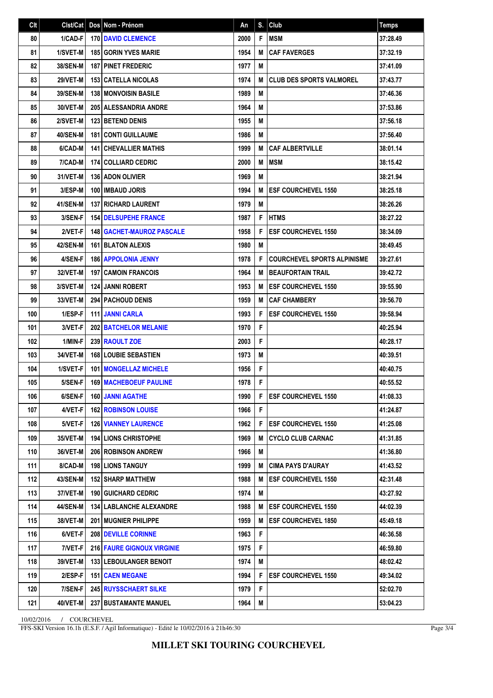| Clt | Clst/Cat        | Dos Nom - Prénom                  | An   | S. | Club                               | <b>Temps</b> |
|-----|-----------------|-----------------------------------|------|----|------------------------------------|--------------|
| 80  | 1/CAD-F         | <b>170 DAVID CLEMENCE</b>         | 2000 | F  | <b>MSM</b>                         | 37:28.49     |
| 81  | 1/SVET-M        | <b>185 GORIN YVES MARIE</b>       | 1954 | M  | <b>CAF FAVERGES</b>                | 37:32.19     |
| 82  | 38/SEN-M        | <b>187 PINET FREDERIC</b>         | 1977 | M  |                                    | 37:41.09     |
| 83  | <b>29/VET-M</b> | <b>153 CATELLA NICOLAS</b>        | 1974 | M  | <b>CLUB DES SPORTS VALMOREL</b>    | 37:43.77     |
| 84  | 39/SEN-M        | <b>138 MONVOISIN BASILE</b>       | 1989 | M  |                                    | 37:46.36     |
| 85  | 30/VET-M        | <b>205 ALESSANDRIA ANDRE</b>      | 1964 | M  |                                    | 37:53.86     |
| 86  | 2/SVET-M        | <b>123 BETEND DENIS</b>           | 1955 | M  |                                    | 37:56.18     |
| 87  | 40/SEN-M        | <b>181 CONTI GUILLAUME</b>        | 1986 | M  |                                    | 37:56.40     |
| 88  | 6/CAD-M         | <b>141   CHEVALLIER MATHIS</b>    | 1999 | М  | <b>CAF ALBERTVILLE</b>             | 38:01.14     |
| 89  | 7/CAD-M         | <b>174 COLLIARD CEDRIC</b>        | 2000 | M  | <b>MSM</b>                         | 38:15.42     |
| 90  | 31/VET-M        | <b>136 ADON OLIVIER</b>           | 1969 | M  |                                    | 38:21.94     |
| 91  | 3/ESP-M         | 100 IMBAUD JORIS                  | 1994 | M  | <b>ESF COURCHEVEL 1550</b>         | 38:25.18     |
| 92  | 41/SEN-M        | <b>137 RICHARD LAURENT</b>        | 1979 | M  |                                    | 38:26.26     |
| 93  | 3/SEN-F         | <b>154 DELSUPEHE FRANCE</b>       | 1987 | F  | <b>HTMS</b>                        | 38:27.22     |
| 94  | 2/VET-F         | 148 GACHET-MAUROZ PASCALE         | 1958 | F  | <b>ESF COURCHEVEL 1550</b>         | 38:34.09     |
| 95  | <b>42/SEN-M</b> | <b>161 BLATON ALEXIS</b>          | 1980 | M  |                                    | 38:49.45     |
| 96  | 4/SEN-F         | <b>186 APPOLONIA JENNY</b>        | 1978 | F  | <b>COURCHEVEL SPORTS ALPINISME</b> | 39:27.61     |
| 97  | 32/VET-M        | <b>197 CAMOIN FRANCOIS</b>        | 1964 | M  | <b>BEAUFORTAIN TRAIL</b>           | 39:42.72     |
| 98  | 3/SVET-M        | <b>124 JANNI ROBERT</b>           | 1953 | M  | <b>ESF COURCHEVEL 1550</b>         | 39:55.90     |
| 99  | 33/VET-M        | <b>294   PACHOUD DENIS</b>        | 1959 | M  | <b>CAF CHAMBERY</b>                | 39:56.70     |
| 100 | 1/ESP-F         | <b>111 JANNI CARLA</b>            | 1993 | F  | <b>ESF COURCHEVEL 1550</b>         | 39:58.94     |
| 101 | 3/VET-F         | 202 BATCHELOR MELANIE             | 1970 | F  |                                    | 40:25.94     |
| 102 | 1/MIN-F         | 239 RAOULT ZOE                    | 2003 | F  |                                    | 40:28.17     |
| 103 | 34/VET-M        | <b>168 LOUBIE SEBASTIEN</b>       | 1973 | M  |                                    | 40:39.51     |
| 104 | 1/SVET-F        | <b>101   MONGELLAZ MICHELE</b>    | 1956 | F  |                                    | 40:40.75     |
| 105 | 5/SEN-F         | <b>169 MACHEBOEUF PAULINE</b>     | 1978 | F  |                                    | 40:55.52     |
| 106 | 6/SEN-F         | <b>160 JANNI AGATHE</b>           | 1990 | F  | <b>ESF COURCHEVEL 1550</b>         | 41:08.33     |
| 107 | 4/VET-F         | <b>162 ROBINSON LOUISE</b>        | 1966 | F  |                                    | 41:24.87     |
| 108 | 5/VET-F         | <b>126   VIANNEY LAURENCE</b>     | 1962 | F  | <b>ESF COURCHEVEL 1550</b>         | 41:25.08     |
| 109 | 35/VET-M        | <b>194   LIONS CHRISTOPHE</b>     | 1969 | M  | <b>CYCLO CLUB CARNAC</b>           | 41:31.85     |
| 110 | 36/VET-M        | 206 ROBINSON ANDREW               | 1966 | M  |                                    | 41:36.80     |
| 111 | 8/CAD-M         | <b>198 LIONS TANGUY</b>           | 1999 | M  | <b>CIMA PAYS D'AURAY</b>           | 41:43.52     |
| 112 | 43/SEN-M        | <b>152   SHARP MATTHEW</b>        | 1988 | M  | <b>ESF COURCHEVEL 1550</b>         | 42:31.48     |
| 113 | 37/VET-M        | <b>190   GUICHARD CEDRIC</b>      | 1974 | Μ  |                                    | 43:27.92     |
| 114 | <b>44/SEN-M</b> | <b>134 LABLANCHE ALEXANDRE</b>    | 1988 | M  | <b>ESF COURCHEVEL 1550</b>         | 44:02.39     |
| 115 | 38/VET-M        | <b>201 I MUGNIER PHILIPPE</b>     | 1959 | M  | <b>ESF COURCHEVEL 1850</b>         | 45:49.18     |
| 116 | 6/VET-F         | <b>208 I DEVILLE CORINNE</b>      | 1963 | F  |                                    | 46:36.58     |
| 117 | 7/VET-F         | <b>216 FAURE GIGNOUX VIRGINIE</b> | 1975 | F  |                                    | 46:59.80     |
| 118 | 39/VET-M        | <b>133   LEBOULANGER BENOIT</b>   | 1974 | M  |                                    | 48:02.42     |
| 119 | 2/ESP-F         | <b>151   CAEN MEGANE</b>          | 1994 | F  | <b>ESF COURCHEVEL 1550</b>         | 49:34.02     |
| 120 | 7/SEN-F         | <b>245 RUYSSCHAERT SILKE</b>      | 1979 | F  |                                    | 52:02.70     |
| 121 | 40/VET-M        | 237 BUSTAMANTE MANUEL             | 1964 | M  |                                    | 53:04.23     |

10/02/2016 / COURCHEVEL

FFS-SKI Version 16.1h (E.S.F. / Agil Informatique) - Edité le 10/02/2016 à 21h46:30

Page 3/4